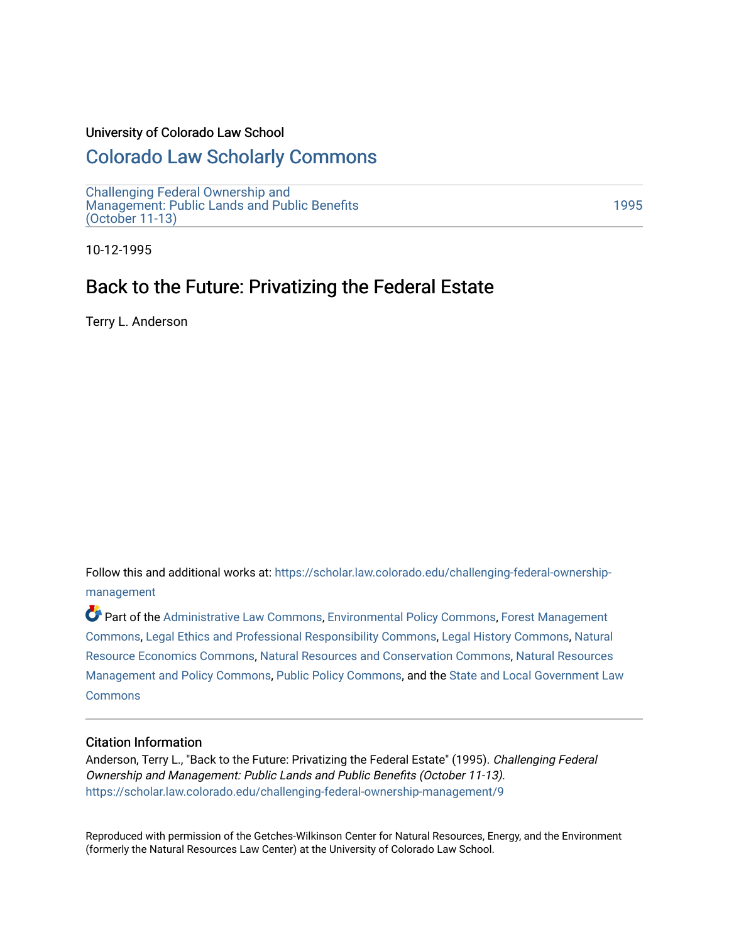#### University of Colorado Law School

## [Colorado Law Scholarly Commons](https://scholar.law.colorado.edu/)

[Challenging Federal Ownership and](https://scholar.law.colorado.edu/challenging-federal-ownership-management)  [Management: Public Lands and Public Benefits](https://scholar.law.colorado.edu/challenging-federal-ownership-management)  [\(October 11-13\)](https://scholar.law.colorado.edu/challenging-federal-ownership-management) 

[1995](https://scholar.law.colorado.edu/conferences1995) 

10-12-1995

## Back to the Future: Privatizing the Federal Estate

Terry L. Anderson

Follow this and additional works at: [https://scholar.law.colorado.edu/challenging-federal-ownership](https://scholar.law.colorado.edu/challenging-federal-ownership-management?utm_source=scholar.law.colorado.edu%2Fchallenging-federal-ownership-management%2F9&utm_medium=PDF&utm_campaign=PDFCoverPages)[management](https://scholar.law.colorado.edu/challenging-federal-ownership-management?utm_source=scholar.law.colorado.edu%2Fchallenging-federal-ownership-management%2F9&utm_medium=PDF&utm_campaign=PDFCoverPages) 

Part of the [Administrative Law Commons,](http://network.bepress.com/hgg/discipline/579?utm_source=scholar.law.colorado.edu%2Fchallenging-federal-ownership-management%2F9&utm_medium=PDF&utm_campaign=PDFCoverPages) [Environmental Policy Commons,](http://network.bepress.com/hgg/discipline/1027?utm_source=scholar.law.colorado.edu%2Fchallenging-federal-ownership-management%2F9&utm_medium=PDF&utm_campaign=PDFCoverPages) [Forest Management](http://network.bepress.com/hgg/discipline/92?utm_source=scholar.law.colorado.edu%2Fchallenging-federal-ownership-management%2F9&utm_medium=PDF&utm_campaign=PDFCoverPages)  [Commons](http://network.bepress.com/hgg/discipline/92?utm_source=scholar.law.colorado.edu%2Fchallenging-federal-ownership-management%2F9&utm_medium=PDF&utm_campaign=PDFCoverPages), [Legal Ethics and Professional Responsibility Commons,](http://network.bepress.com/hgg/discipline/895?utm_source=scholar.law.colorado.edu%2Fchallenging-federal-ownership-management%2F9&utm_medium=PDF&utm_campaign=PDFCoverPages) [Legal History Commons](http://network.bepress.com/hgg/discipline/904?utm_source=scholar.law.colorado.edu%2Fchallenging-federal-ownership-management%2F9&utm_medium=PDF&utm_campaign=PDFCoverPages), [Natural](http://network.bepress.com/hgg/discipline/169?utm_source=scholar.law.colorado.edu%2Fchallenging-federal-ownership-management%2F9&utm_medium=PDF&utm_campaign=PDFCoverPages) [Resource Economics Commons](http://network.bepress.com/hgg/discipline/169?utm_source=scholar.law.colorado.edu%2Fchallenging-federal-ownership-management%2F9&utm_medium=PDF&utm_campaign=PDFCoverPages), [Natural Resources and Conservation Commons](http://network.bepress.com/hgg/discipline/168?utm_source=scholar.law.colorado.edu%2Fchallenging-federal-ownership-management%2F9&utm_medium=PDF&utm_campaign=PDFCoverPages), [Natural Resources](http://network.bepress.com/hgg/discipline/170?utm_source=scholar.law.colorado.edu%2Fchallenging-federal-ownership-management%2F9&utm_medium=PDF&utm_campaign=PDFCoverPages) [Management and Policy Commons,](http://network.bepress.com/hgg/discipline/170?utm_source=scholar.law.colorado.edu%2Fchallenging-federal-ownership-management%2F9&utm_medium=PDF&utm_campaign=PDFCoverPages) [Public Policy Commons,](http://network.bepress.com/hgg/discipline/400?utm_source=scholar.law.colorado.edu%2Fchallenging-federal-ownership-management%2F9&utm_medium=PDF&utm_campaign=PDFCoverPages) and the [State and Local Government Law](http://network.bepress.com/hgg/discipline/879?utm_source=scholar.law.colorado.edu%2Fchallenging-federal-ownership-management%2F9&utm_medium=PDF&utm_campaign=PDFCoverPages) **[Commons](http://network.bepress.com/hgg/discipline/879?utm_source=scholar.law.colorado.edu%2Fchallenging-federal-ownership-management%2F9&utm_medium=PDF&utm_campaign=PDFCoverPages)** 

#### Citation Information

Anderson, Terry L., "Back to the Future: Privatizing the Federal Estate" (1995). Challenging Federal Ownership and Management: Public Lands and Public Benefits (October 11-13). [https://scholar.law.colorado.edu/challenging-federal-ownership-management/9](https://scholar.law.colorado.edu/challenging-federal-ownership-management/9?utm_source=scholar.law.colorado.edu%2Fchallenging-federal-ownership-management%2F9&utm_medium=PDF&utm_campaign=PDFCoverPages) 

Reproduced with permission of the Getches-Wilkinson Center for Natural Resources, Energy, and the Environment (formerly the Natural Resources Law Center) at the University of Colorado Law School.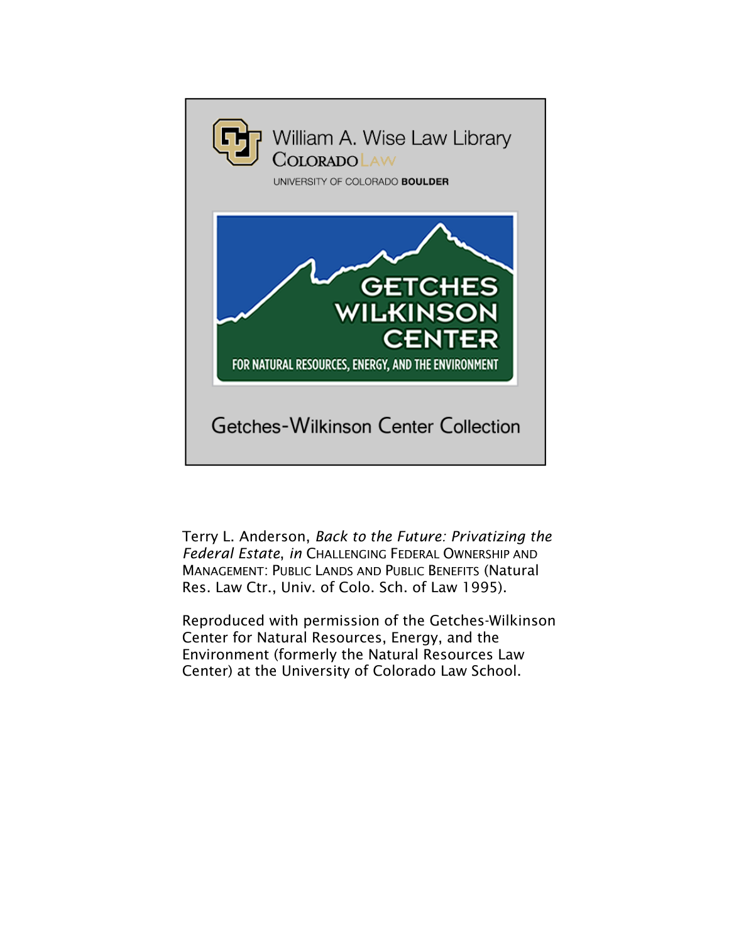

Terry L. Anderson, *Back to the Future: Privatizing the Federal Estate*, *in* CHALLENGING FEDERAL OWNERSHIP AND MANAGEMENT: PUBLIC LANDS AND PUBLIC BENEFITS (Natural Res. Law Ctr., Univ. of Colo. Sch. of Law 1995).

Reproduced with permission of the Getches-Wilkinson Center for Natural Resources, Energy, and the Environment (formerly the Natural Resources Law Center) at the University of Colorado Law School.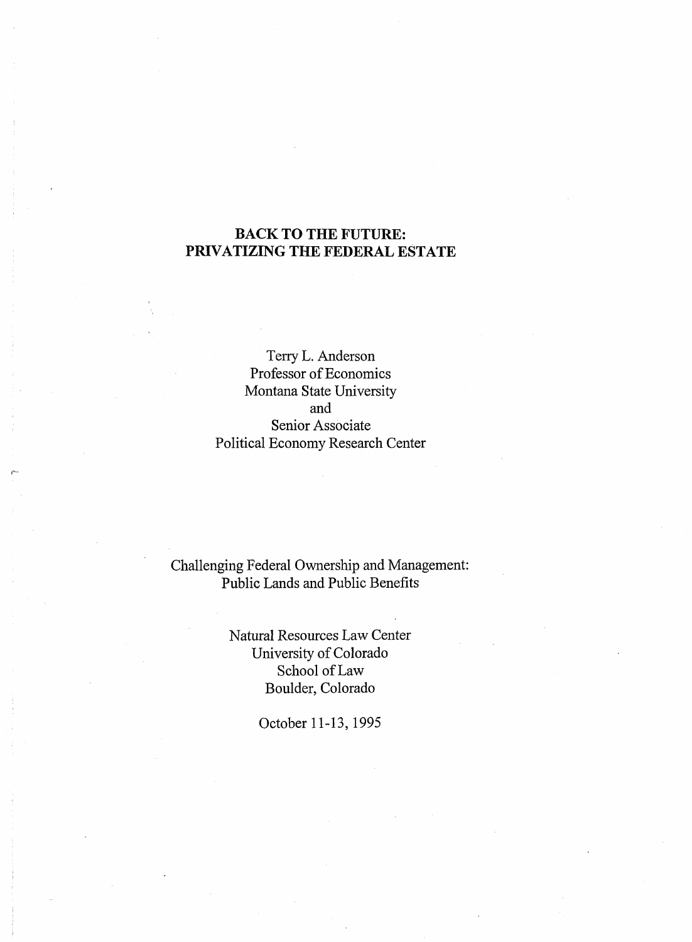## **BACK TO THE FUTURE: PRIVATIZING THE FEDERAL ESTATE**

Terry L. Anderson Professor of Economics Montana State University and Senior Associate Political Economy Research Center

# Challenging Federal Ownership and Management: Public Lands and Public Benefits

Natural Resources Law Center University of Colorado School of Law Boulder, Colorado

October 11-13,1995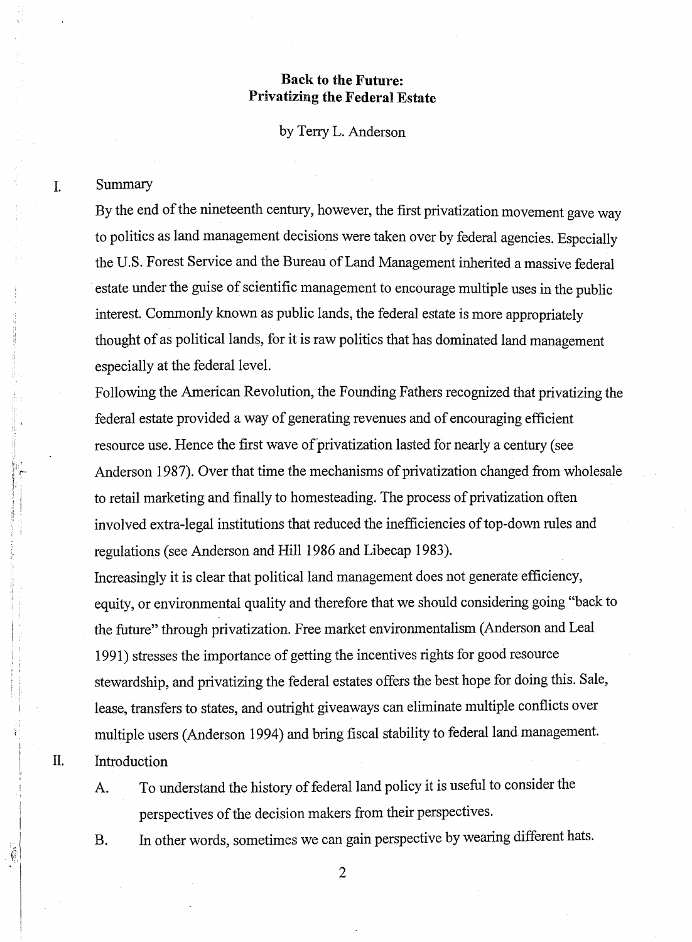## **Back to the Future: Privatizing the Federal Estate**

by Terry L. Anderson

### Summary

I.

**n.**

By the end of the nineteenth century, however, the first privatization movement gave way to politics as land management decisions were taken over by federal agencies. Especially the U.S. Forest Service and the Bureau of Land Management inherited a massive federal estate under the guise of scientific management to encourage multiple uses in the public interest. Commonly known as public lands, the federal estate is more appropriately thought of as political lands, for it is raw politics that has dominated land management especially at the federal level.

Following the American Revolution, the Founding Fathers recognized that privatizing the federal estate provided a way of generating revenues and of encouraging efficient resource use. Hence the first wave of privatization lasted for nearly a century (see Anderson 1987). Over that time the mechanisms of privatization changed from wholesale to retail marketing and finally to homesteading. The process of privatization often involved extra-legal institutions that reduced the inefficiencies of top-down rules and regulations (see Anderson and Hill 1986 and Libecap 1983).

Increasingly it is clear that political land management does not generate efficiency, equity, or environmental quality and therefore that we should considering going "back to the future" through privatization. Free market environmentalism (Anderson and Leal 1991) stresses the importance of getting the incentives rights for good resource stewardship, and privatizing the federal estates offers the best hope for doing this. Sale, lease, transfers to states, and outright giveaways can eliminate multiple conflicts over multiple users (Anderson 1994) and bring fiscal stability to federal land management. Introduction

A. To understand the history of federal land policy it is useful to consider the perspectives of the decision makers from their perspectives.

B. In other words, sometimes we can gain perspective by wearing different hats.

2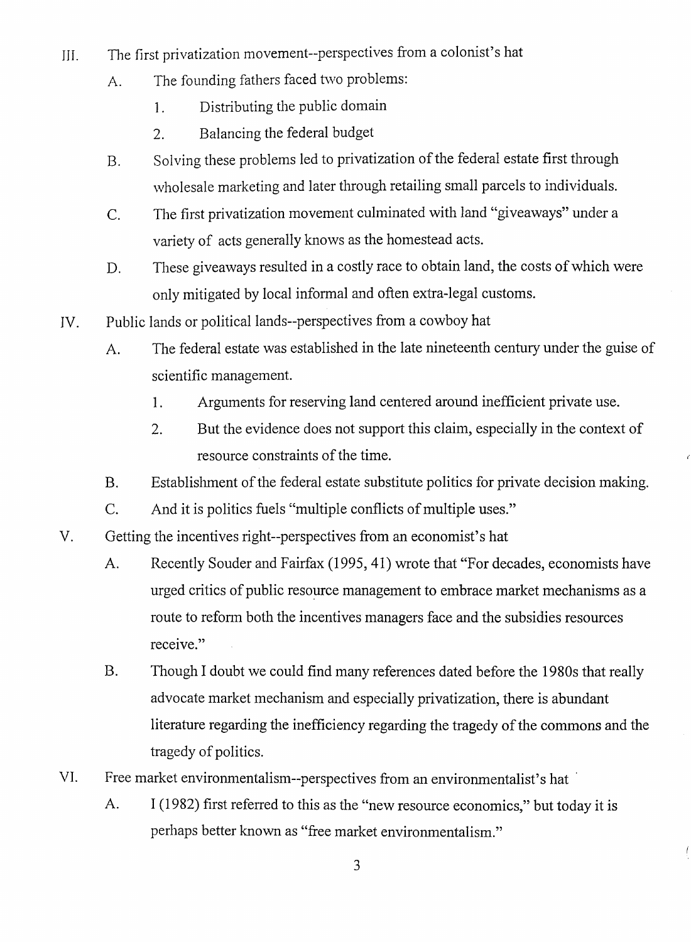- III. The first privatization movement-perspectives from a colonist's hat
	- A. The founding fathers faced two problems:
		- 1. Distributing the public domain
		- 2. Balancing the federal budget
	- B. Solving these problems led to privatization of the federal estate first through wholesale marketing and later through retailing small parcels to individuals.
	- C. The first privatization movement culminated with land "giveaways" under a variety of acts generally knows as the homestead acts.
	- D. These giveaways resulted in a costly race to obtain land, the costs of which were only mitigated by local informal and often extra-legal customs.
- IV. Public lands or political lands—perspectives from a cowboy hat
	- A. The federal estate was established in the late nineteenth century under the guise of scientific management.
		- 1. Arguments for reserving land centered around inefficient private use.
		- 2. But the evidence does not support this claim, especially in the context of resource constraints of the time.
	- B. Establishment of the federal estate substitute politics for private decision making.
	- C. And it is politics fuels "multiple conflicts of multiple uses."
- V. Getting the incentives right-perspectives from an economist's hat
	- A. Recently Souder and Fairfax (1995, 41) wrote that "For decades, economists have urged critics of public resource management to embrace market mechanisms as a route to reform both the incentives managers face and the subsidies resources receive."
	- B. Though I doubt we could find many references dated before the 1980s that really advocate market mechanism and especially privatization, there is abundant literature regarding the inefficiency regarding the tragedy of the commons and the tragedy of politics.
- VI. Free market environmentalism—perspectives from an environmentalist's hat
	- A. I (1982) first referred to this as the "new resource economics," but today it is perhaps better known as "free market environmentalism."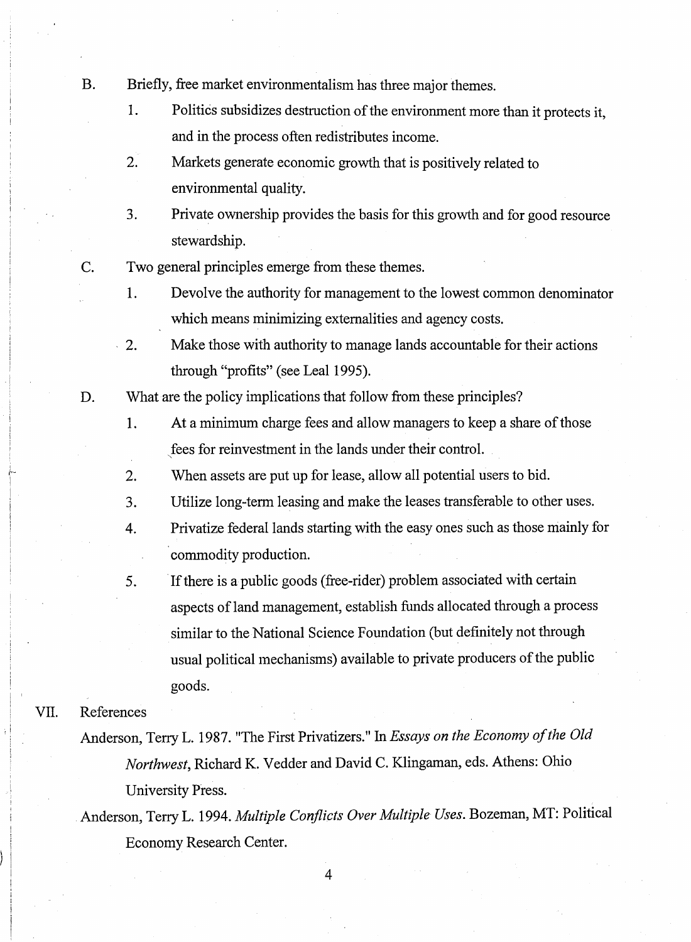- B. Briefly, free market environmentalism has three major themes.
	- 1. Politics subsidizes destruction of the environment more than it protects it, and in the process often redistributes income.
	- 2. Markets generate economic growth that is positively related to environmental quality.
	- 3. Private ownership provides the basis for this growth and for good resource stewardship.
- C. Two general principles emerge from these themes.
	- 1. Devolve the authority for management to the lowest common denominator which means minimizing externalities and agency costs.
	- 2. Make those with authority to manage lands accountable for their actions through "profits" (see Leal 1995).
- D. What are the policy implications that follow from these principles?
	- 1. At a minimum charge fees and allow managers to keep a share of those fees for reinvestment in the lands under their control.
	- 2. When assets are put up for lease, allow all potential users to bid.
	- 3. Utilize long-term leasing and make the leases transferable to other uses.
	- 4. Privatize federal lands starting with the easy ones such as those mainly for commodity production.
	- 5. If there is a public goods (free-rider) problem associated with certain aspects of land management, establish funds allocated through a process similar to the National Science Foundation (but definitely not through usual political mechanisms) available to private producers of the public goods.

## VII. References

Anderson, Terry L. 1987. "The First Privatizers." In *Essays on the Economy of the Old Northwest,* Richard K. Vedder and David C. Klingaman, eds. Athens: Ohio University Press.

Anderson, Terry L. 1994. *Multiple Conflicts Over Multiple Uses.* Bozeman, MT: Political Economy Research Center.

4